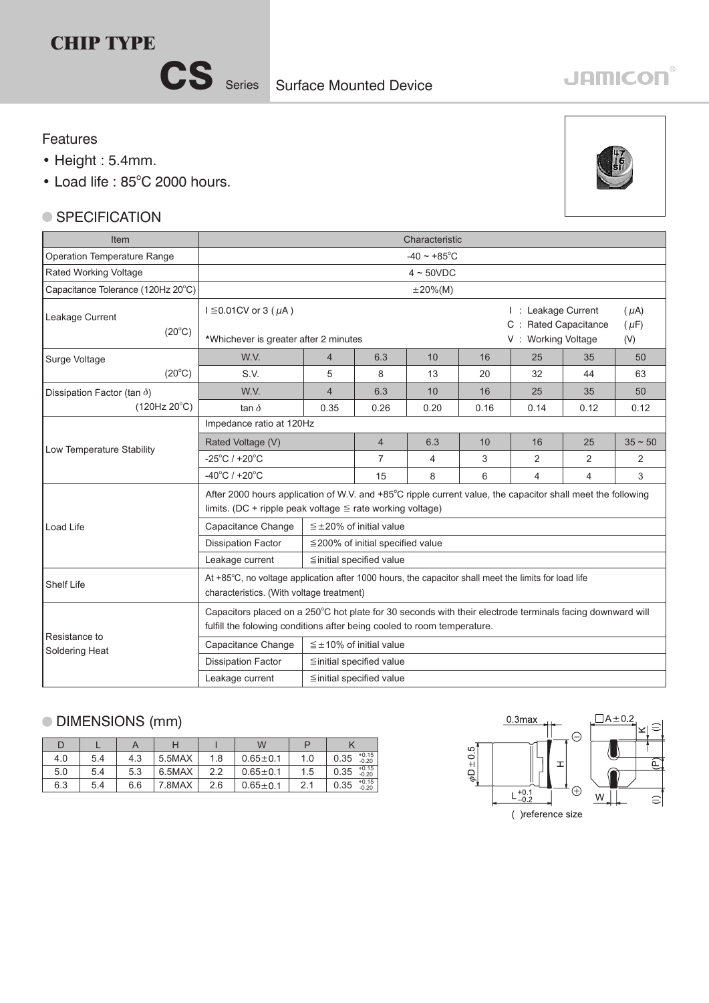## **CHIP TYPE**

CS Series Surface Mounted Device

# **JAMICON®**

#### Features

- Height : 5.4mm.
- Load life: 85°C 2000 hours.

#### ● SPECIFICATION



| Item                                                                                                                                                            | Characteristic                                                                                                                                                                       |                                  |      |                                             |                        |                |                |      |  |  |  |
|-----------------------------------------------------------------------------------------------------------------------------------------------------------------|--------------------------------------------------------------------------------------------------------------------------------------------------------------------------------------|----------------------------------|------|---------------------------------------------|------------------------|----------------|----------------|------|--|--|--|
| Operation Temperature Range                                                                                                                                     | $-40 \sim +85^{\circ}$ C                                                                                                                                                             |                                  |      |                                             |                        |                |                |      |  |  |  |
| Rated Working Voltage                                                                                                                                           |                                                                                                                                                                                      |                                  |      | $4 \sim 50$ VDC                             |                        |                |                |      |  |  |  |
| Capacitance Tolerance (120Hz 20°C)                                                                                                                              |                                                                                                                                                                                      |                                  |      | $\pm 20\%$ (M)                              |                        |                |                |      |  |  |  |
| Leakage Current<br>$(20^{\circ}C)$                                                                                                                              | $I \leq 0.01$ CV or 3 ( $\mu$ A)                                                                                                                                                     |                                  |      | I: Leakage Current<br>C : Rated Capacitance | $(\mu A)$<br>$(\mu F)$ |                |                |      |  |  |  |
|                                                                                                                                                                 | *Whichever is greater after 2 minutes                                                                                                                                                |                                  |      | V: Working Voltage                          | (V)                    |                |                |      |  |  |  |
| Surge Voltage                                                                                                                                                   | W.V.                                                                                                                                                                                 | $\overline{4}$                   | 6.3  | 10                                          | 16                     | 25             | 35             | 50   |  |  |  |
| $(20^{\circ}C)$                                                                                                                                                 | S.V.                                                                                                                                                                                 | 5                                | 8    | 13                                          | 20                     | 32             | 44             | 63   |  |  |  |
| Dissipation Factor (tan $\delta$ )                                                                                                                              | W.V.                                                                                                                                                                                 | $\overline{4}$                   | 6.3  | 10                                          | 16                     | 25             | 35             | 50   |  |  |  |
| $(120Hz 20^{\circ}C)$                                                                                                                                           | tan $\delta$                                                                                                                                                                         | 0.35                             | 0.26 | 0.20                                        | 0.16                   | 0.14           | 0.12           | 0.12 |  |  |  |
|                                                                                                                                                                 | Impedance ratio at 120Hz                                                                                                                                                             |                                  |      |                                             |                        |                |                |      |  |  |  |
| Low Temperature Stability                                                                                                                                       | Rated Voltage (V)                                                                                                                                                                    | $\overline{4}$                   | 6.3  | 10                                          | 16                     | 25             | $35 \sim 50$   |      |  |  |  |
|                                                                                                                                                                 | $-25^{\circ}$ C / +20 $^{\circ}$ C                                                                                                                                                   | 7                                | 4    | 3                                           | 2                      | 2              | $\mathcal{P}$  |      |  |  |  |
|                                                                                                                                                                 | $-40^{\circ}$ C / +20 $^{\circ}$ C                                                                                                                                                   |                                  | 15   | 8                                           | 6                      | $\overline{4}$ | $\overline{4}$ | 3    |  |  |  |
|                                                                                                                                                                 | After 2000 hours application of W.V. and +85°C ripple current value, the capacitor shall meet the following<br>limits. (DC + ripple peak voltage $\leq$ rate working voltage)        |                                  |      |                                             |                        |                |                |      |  |  |  |
| Load Life                                                                                                                                                       | $\leq$ ±20% of initial value<br>Capacitance Change                                                                                                                                   |                                  |      |                                             |                        |                |                |      |  |  |  |
|                                                                                                                                                                 | <b>Dissipation Factor</b><br>$\leq$ 200% of initial specified value                                                                                                                  |                                  |      |                                             |                        |                |                |      |  |  |  |
|                                                                                                                                                                 | Leakage current<br>$\leq$ initial specified value                                                                                                                                    |                                  |      |                                             |                        |                |                |      |  |  |  |
| At +85°C, no voltage application after 1000 hours, the capacitor shall meet the limits for load life<br>Shelf Life<br>characteristics. (With voltage treatment) |                                                                                                                                                                                      |                                  |      |                                             |                        |                |                |      |  |  |  |
| Resistance to                                                                                                                                                   | Capacitors placed on a 250°C hot plate for 30 seconds with their electrode terminals facing downward will<br>fulfill the folowing conditions after being cooled to room temperature. |                                  |      |                                             |                        |                |                |      |  |  |  |
| Soldering Heat                                                                                                                                                  | Capacitance Change                                                                                                                                                                   | $\leq \pm 10\%$ of initial value |      |                                             |                        |                |                |      |  |  |  |
|                                                                                                                                                                 | <b>Dissipation Factor</b>                                                                                                                                                            | $\leq$ initial specified value   |      |                                             |                        |                |                |      |  |  |  |
|                                                                                                                                                                 | Leakage current<br>≦initial specified value                                                                                                                                          |                                  |      |                                             |                        |                |                |      |  |  |  |

### DIMENSIONS (mm)

|     |     |     |        |     | W              |     |                            |  |
|-----|-----|-----|--------|-----|----------------|-----|----------------------------|--|
| 4.0 | 5.4 | 4.3 | 5.5MAX | 1.8 | $0.65 \pm 0.1$ | 1.0 | $+0.15$<br>0.35<br>$-0.20$ |  |
| 5.0 | 5.4 | 5.3 | 6.5MAX | 2.2 | $0.65 \pm 0.1$ | 1.5 | $+0.15$<br>$-0.20$<br>0.35 |  |
| 6.3 | 5.4 | 6.6 | 7.8MAX | 2.6 | $0.65 \pm 0.1$ | 2.1 | $+0.15$<br>0.35<br>$-0.20$ |  |